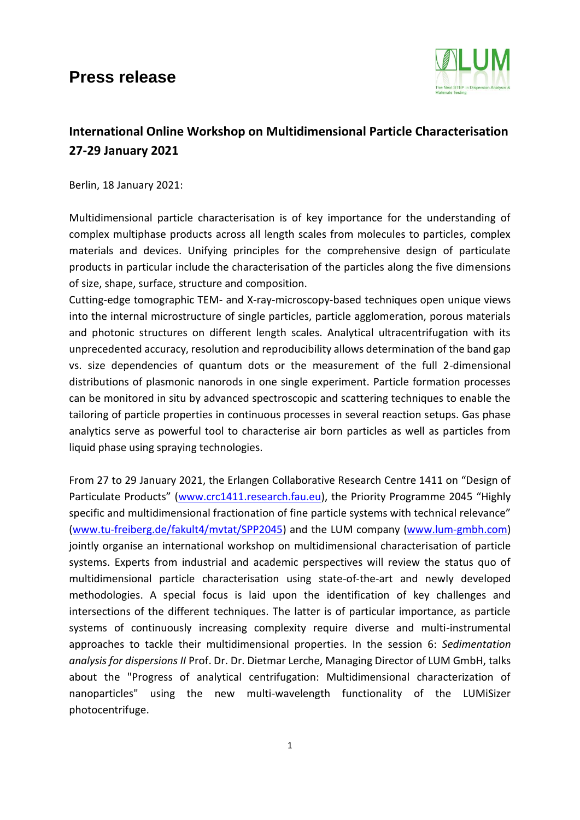## **Press release**



## **International Online Workshop on Multidimensional Particle Characterisation 27-29 January 2021**

Berlin, 18 January 2021:

Multidimensional particle characterisation is of key importance for the understanding of complex multiphase products across all length scales from molecules to particles, complex materials and devices. Unifying principles for the comprehensive design of particulate products in particular include the characterisation of the particles along the five dimensions of size, shape, surface, structure and composition.

Cutting-edge tomographic TEM- and X-ray-microscopy-based techniques open unique views into the internal microstructure of single particles, particle agglomeration, porous materials and photonic structures on different length scales. Analytical ultracentrifugation with its unprecedented accuracy, resolution and reproducibility allows determination of the band gap vs. size dependencies of quantum dots or the measurement of the full 2-dimensional distributions of plasmonic nanorods in one single experiment. Particle formation processes can be monitored in situ by advanced spectroscopic and scattering techniques to enable the tailoring of particle properties in continuous processes in several reaction setups. Gas phase analytics serve as powerful tool to characterise air born particles as well as particles from liquid phase using spraying technologies.

From 27 to 29 January 2021, the Erlangen Collaborative Research Centre 1411 on "Design of Particulate Products" ([www.crc1411.research.fau.eu](http://www.crc1411.research.fau.eu/)), the Priority Programme 2045 "Highly specific and multidimensional fractionation of fine particle systems with technical relevance" [\(www.tu-freiberg.de/fakult4/mvtat/SPP2045\)](http://www.tu-freiberg.de/fakult4/mvtat/SPP2045) and the LUM company [\(www.lum-gmbh.com\)](http://www.lum-gmbh.com/) jointly organise an international workshop on multidimensional characterisation of particle systems. Experts from industrial and academic perspectives will review the status quo of multidimensional particle characterisation using state-of-the-art and newly developed methodologies. A special focus is laid upon the identification of key challenges and intersections of the different techniques. The latter is of particular importance, as particle systems of continuously increasing complexity require diverse and multi-instrumental approaches to tackle their multidimensional properties. In the session 6: *Sedimentation analysis for dispersions II* Prof. Dr. Dr. Dietmar Lerche, Managing Director of LUM GmbH, talks about the "Progress of analytical centrifugation: Multidimensional characterization of nanoparticles" using the new multi-wavelength functionality of the LUMiSizer photocentrifuge.